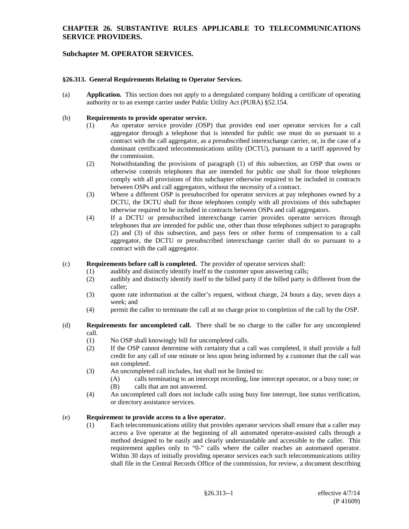## **CHAPTER 26. SUBSTANTIVE RULES APPLICABLE TO TELECOMMUNICATIONS SERVICE PROVIDERS.**

# **Subchapter M. OPERATOR SERVICES.**

### **§26.313. General Requirements Relating to Operator Services.**

(a) **Application.** This section does not apply to a deregulated company holding a certificate of operating authority or to an exempt carrier under Public Utility Act (PURA) §52.154.

### (b) **Requirements to provide operator service.**

- (1) An operator service provider (OSP) that provides end user operator services for a call aggregator through a telephone that is intended for public use must do so pursuant to a contract with the call aggregator, as a presubscribed interexchange carrier, or, in the case of a dominant certificated telecommunications utility (DCTU), pursuant to a tariff approved by the commission.
- (2) Notwithstanding the provisions of paragraph (1) of this subsection, an OSP that owns or otherwise controls telephones that are intended for public use shall for those telephones comply with all provisions of this subchapter otherwise required to be included in contracts between OSPs and call aggregators, without the necessity of a contract.
- (3) Where a different OSP is presubscribed for operator services at pay telephones owned by a DCTU, the DCTU shall for those telephones comply with all provisions of this subchapter otherwise required to be included in contracts between OSPs and call aggregators.
- (4) If a DCTU or presubscribed interexchange carrier provides operator services through telephones that are intended for public use, other than those telephones subject to paragraphs (2) and (3) of this subsection, and pays fees or other forms of compensation to a call aggregator, the DCTU or presubscribed interexchange carrier shall do so pursuant to a contract with the call aggregator.

### (c) **Requirements before call is completed.** The provider of operator services shall:

- (1) audibly and distinctly identify itself to the customer upon answering calls;<br>(2) audibly and distinctly identify itself to the billed party if the billed party is
- audibly and distinctly identify itself to the billed party if the billed party is different from the caller;
- (3) quote rate information at the caller's request, without charge, 24 hours a day, seven days a week; and
- (4) permit the caller to terminate the call at no charge prior to completion of the call by the OSP.
- (d) **Requirements for uncompleted call.** There shall be no charge to the caller for any uncompleted call.
	- (1) No OSP shall knowingly bill for uncompleted calls.
	- (2) If the OSP cannot determine with certainty that a call was completed, it shall provide a full credit for any call of one minute or less upon being informed by a customer that the call was not completed.
	- (3) An uncompleted call includes, but shall not be limited to:
		- (A) calls terminating to an intercept recording, line intercept operator, or a busy tone; or (B) calls that are not answered.
	- (4) An uncompleted call does not include calls using busy line interrupt, line status verification, or directory assistance services.

### (e) **Requiremen**t **to provide access to a live operator.**

(1) Each telecommunications utility that provides operator services shall ensure that a caller may access a live operator at the beginning of all automated operator-assisted calls through a method designed to be easily and clearly understandable and accessible to the caller. This requirement applies only to "0-" calls where the caller reaches an automated operator. Within 30 days of initially providing operator services each such telecommunications utility shall file in the Central Records Office of the commission, for review, a document describing